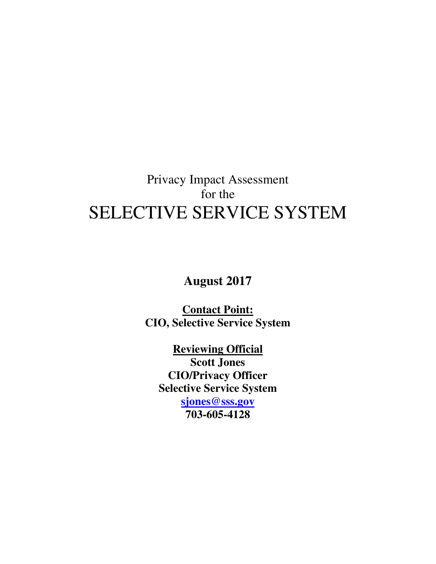# Privacy Impact Assessment for the SELECTIVE SERVICE SYSTEM

**August 2017** 

**Contact Point: CIO, Selective Service System** 

**Reviewing Official Scott Jones CIO/Privacy Officer Selective Service System sjones@sss.gov**

**703-605-4128**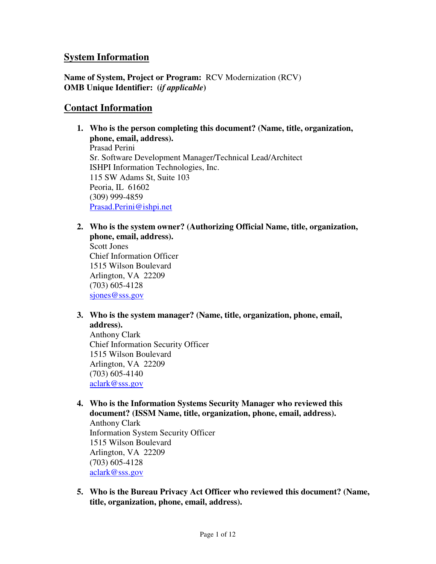## **System Information**

**Name of System, Project or Program:** RCV Modernization (RCV) **OMB Unique Identifier: (***if applicable***)** 

## **Contact Information**

- **1. Who is the person completing this document? (Name, title, organization, phone, email, address).**  Prasad Perini Sr. Software Development Manager/Technical Lead/Architect ISHPI Information Technologies, Inc. 115 SW Adams St, Suite 103 Peoria, IL 61602 (309) 999-4859 Prasad.Perini@ishpi.net
- **2. Who is the system owner? (Authorizing Official Name, title, organization, phone, email, address).**

Scott Jones Chief Information Officer 1515 Wilson Boulevard Arlington, VA 22209 (703) 605-4128 sjones@sss.gov

**3. Who is the system manager? (Name, title, organization, phone, email, address).** 

Anthony Clark Chief Information Security Officer 1515 Wilson Boulevard Arlington, VA 22209 (703) 605-4140 aclark@sss.gov

**4. Who is the Information Systems Security Manager who reviewed this document? (ISSM Name, title, organization, phone, email, address).**  Anthony Clark

Information System Security Officer 1515 Wilson Boulevard Arlington, VA 22209 (703) 605-4128 aclark@sss.gov

**5. Who is the Bureau Privacy Act Officer who reviewed this document? (Name, title, organization, phone, email, address).**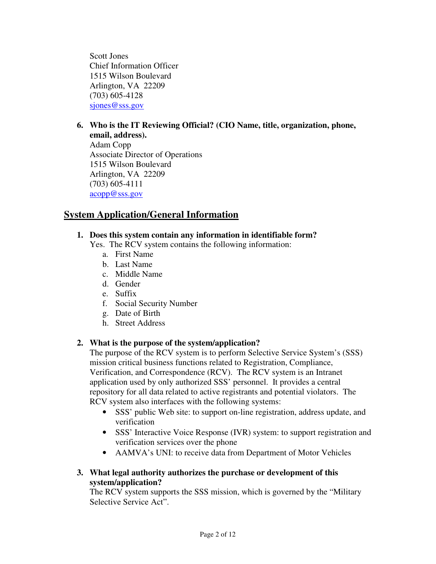Scott Jones Chief Information Officer 1515 Wilson Boulevard Arlington, VA 22209 (703) 605-4128 sjones@sss.gov

#### **6. Who is the IT Reviewing Official? (CIO Name, title, organization, phone, email, address).**

Adam Copp Associate Director of Operations 1515 Wilson Boulevard Arlington, VA 22209 (703) 605-4111 acopp@sss.gov

# **System Application/General Information**

## **1. Does this system contain any information in identifiable form?**

- Yes. The RCV system contains the following information:
	- a. First Name
	- b. Last Name
	- c. Middle Name
	- d. Gender
	- e. Suffix
	- f. Social Security Number
	- g. Date of Birth
	- h. Street Address

## **2. What is the purpose of the system/application?**

The purpose of the RCV system is to perform Selective Service System's (SSS) mission critical business functions related to Registration, Compliance, Verification, and Correspondence (RCV). The RCV system is an Intranet application used by only authorized SSS' personnel. It provides a central repository for all data related to active registrants and potential violators. The RCV system also interfaces with the following systems:

- SSS' public Web site: to support on-line registration, address update, and verification
- SSS' Interactive Voice Response (IVR) system: to support registration and verification services over the phone
- AAMVA's UNI: to receive data from Department of Motor Vehicles

## **3. What legal authority authorizes the purchase or development of this system/application?**

The RCV system supports the SSS mission, which is governed by the "Military Selective Service Act".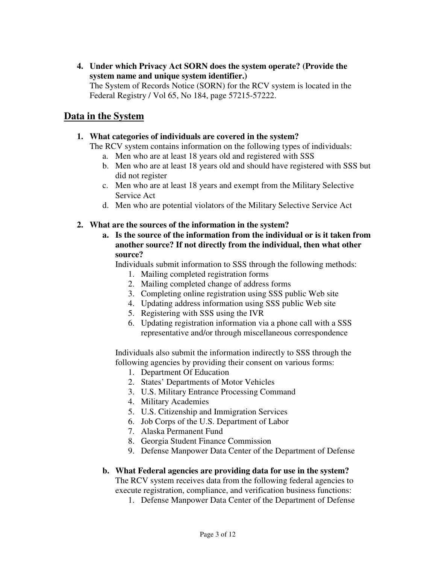**4. Under which Privacy Act SORN does the system operate? (Provide the system name and unique system identifier.)**  The System of Records Notice (SORN) for the RCV system is located in the Federal Registry / Vol 65, No 184, page 57215-57222.

## **Data in the System**

#### **1. What categories of individuals are covered in the system?**

The RCV system contains information on the following types of individuals:

- a. Men who are at least 18 years old and registered with SSS
- b. Men who are at least 18 years old and should have registered with SSS but did not register
- c. Men who are at least 18 years and exempt from the Military Selective Service Act
- d. Men who are potential violators of the Military Selective Service Act
- **2. What are the sources of the information in the system?** 
	- **a. Is the source of the information from the individual or is it taken from another source? If not directly from the individual, then what other source?**

Individuals submit information to SSS through the following methods:

- 1. Mailing completed registration forms
- 2. Mailing completed change of address forms
- 3. Completing online registration using SSS public Web site
- 4. Updating address information using SSS public Web site
- 5. Registering with SSS using the IVR
- 6. Updating registration information via a phone call with a SSS representative and/or through miscellaneous correspondence

Individuals also submit the information indirectly to SSS through the following agencies by providing their consent on various forms:

- 1. Department Of Education
- 2. States' Departments of Motor Vehicles
- 3. U.S. Military Entrance Processing Command
- 4. Military Academies
- 5. U.S. Citizenship and Immigration Services
- 6. Job Corps of the U.S. Department of Labor
- 7. Alaska Permanent Fund
- 8. Georgia Student Finance Commission
- 9. Defense Manpower Data Center of the Department of Defense

#### **b. What Federal agencies are providing data for use in the system?**

The RCV system receives data from the following federal agencies to execute registration, compliance, and verification business functions:

1. Defense Manpower Data Center of the Department of Defense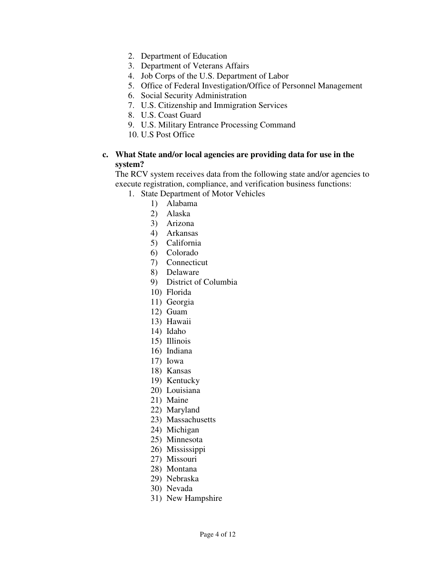- 2. Department of Education
- 3. Department of Veterans Affairs
- 4. Job Corps of the U.S. Department of Labor
- 5. Office of Federal Investigation/Office of Personnel Management
- 6. Social Security Administration
- 7. U.S. Citizenship and Immigration Services
- 8. U.S. Coast Guard
- 9. U.S. Military Entrance Processing Command
- 10. U.S Post Office

#### **c. What State and/or local agencies are providing data for use in the system?**

The RCV system receives data from the following state and/or agencies to execute registration, compliance, and verification business functions:

- 1. State Department of Motor Vehicles
	- 1) Alabama
	- 2) Alaska
	- 3) Arizona
	- 4) Arkansas
	- 5) California
	- 6) Colorado
	- 7) Connecticut
	- 8) Delaware
	- 9) District of Columbia
	- 10) Florida
	- 11) Georgia
	- 12) Guam
	- 13) Hawaii
	- 14) Idaho
	- 15) Illinois
	- 16) Indiana
	- 17) Iowa
	- 18) Kansas
	- 19) Kentucky
	- 20) Louisiana
	- 21) Maine
	-
	- 22) Maryland 23) Massachusetts
	-
	- 24) Michigan
	- 25) Minnesota
	- 26) Mississippi
	- 27) Missouri
	- 28) Montana
	- 29) Nebraska
	- 30) Nevada
	- 31) New Hampshire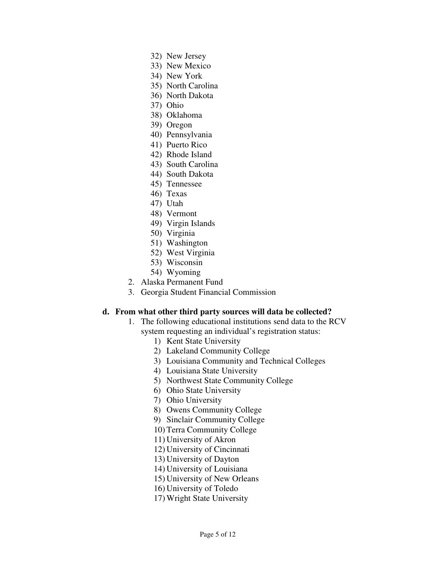- 32) New Jersey
- 33) New Mexico
- 34) New York
- 35) North Carolina
- 36) North Dakota
- 37) Ohio
- 38) Oklahoma
- 39) Oregon
- 40) Pennsylvania
- 41) Puerto Rico
- 42) Rhode Island
- 43) South Carolina
- 44) South Dakota
- 45) Tennessee
- 46) Texas
- 47) Utah
- 48) Vermont
- 49) Virgin Islands
- 50) Virginia
- 51) Washington
- 52) West Virginia
- 53) Wisconsin
- 54) Wyoming
- 2. Alaska Permanent Fund
- 3. Georgia Student Financial Commission

#### **d. From what other third party sources will data be collected?**

- 1. The following educational institutions send data to the RCV system requesting an individual's registration status:
	- 1) Kent State University
	- 2) Lakeland Community College
	- 3) Louisiana Community and Technical Colleges
	- 4) Louisiana State University
	- 5) Northwest State Community College
	- 6) Ohio State University
	- 7) Ohio University
	- 8) Owens Community College
	- 9) Sinclair Community College
	- 10) Terra Community College
	- 11) University of Akron
	- 12) University of Cincinnati
	- 13) University of Dayton
	- 14) University of Louisiana
	- 15) University of New Orleans
	- 16) University of Toledo
	- 17) Wright State University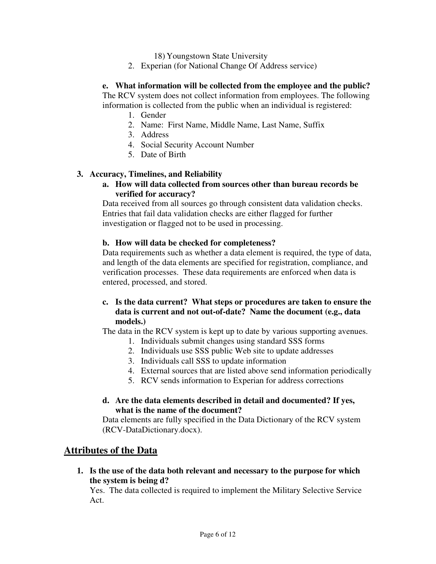18) Youngstown State University

2. Experian (for National Change Of Address service)

#### **e. What information will be collected from the employee and the public?**

The RCV system does not collect information from employees. The following information is collected from the public when an individual is registered:

- 1. Gender
- 2. Name: First Name, Middle Name, Last Name, Suffix
- 3. Address
- 4. Social Security Account Number
- 5. Date of Birth

#### **3. Accuracy, Timelines, and Reliability**

**a. How will data collected from sources other than bureau records be verified for accuracy?** 

Data received from all sources go through consistent data validation checks. Entries that fail data validation checks are either flagged for further investigation or flagged not to be used in processing.

#### **b. How will data be checked for completeness?**

Data requirements such as whether a data element is required, the type of data, and length of the data elements are specified for registration, compliance, and verification processes. These data requirements are enforced when data is entered, processed, and stored.

## **c. Is the data current? What steps or procedures are taken to ensure the data is current and not out-of-date? Name the document (e.g., data models.)**

The data in the RCV system is kept up to date by various supporting avenues.

- 1. Individuals submit changes using standard SSS forms
- 2. Individuals use SSS public Web site to update addresses
- 3. Individuals call SSS to update information
- 4. External sources that are listed above send information periodically
- 5. RCV sends information to Experian for address corrections

#### **d. Are the data elements described in detail and documented? If yes, what is the name of the document?**

Data elements are fully specified in the Data Dictionary of the RCV system (RCV-DataDictionary.docx).

## **Attributes of the Data**

**1. Is the use of the data both relevant and necessary to the purpose for which the system is being d?** 

Yes. The data collected is required to implement the Military Selective Service Act.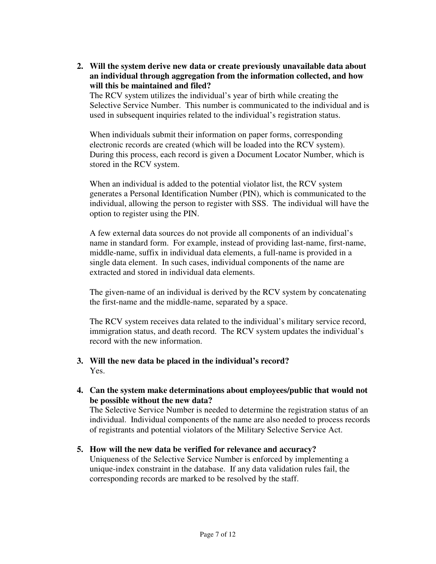**2. Will the system derive new data or create previously unavailable data about an individual through aggregation from the information collected, and how will this be maintained and filed?** 

The RCV system utilizes the individual's year of birth while creating the Selective Service Number. This number is communicated to the individual and is used in subsequent inquiries related to the individual's registration status.

When individuals submit their information on paper forms, corresponding electronic records are created (which will be loaded into the RCV system). During this process, each record is given a Document Locator Number, which is stored in the RCV system.

When an individual is added to the potential violator list, the RCV system generates a Personal Identification Number (PIN), which is communicated to the individual, allowing the person to register with SSS. The individual will have the option to register using the PIN.

A few external data sources do not provide all components of an individual's name in standard form. For example, instead of providing last-name, first-name, middle-name, suffix in individual data elements, a full-name is provided in a single data element. In such cases, individual components of the name are extracted and stored in individual data elements.

The given-name of an individual is derived by the RCV system by concatenating the first-name and the middle-name, separated by a space.

The RCV system receives data related to the individual's military service record, immigration status, and death record. The RCV system updates the individual's record with the new information.

#### **3. Will the new data be placed in the individual's record?**  Yes.

**4. Can the system make determinations about employees/public that would not be possible without the new data?** 

The Selective Service Number is needed to determine the registration status of an individual. Individual components of the name are also needed to process records of registrants and potential violators of the Military Selective Service Act.

**5. How will the new data be verified for relevance and accuracy?**  Uniqueness of the Selective Service Number is enforced by implementing a unique-index constraint in the database. If any data validation rules fail, the corresponding records are marked to be resolved by the staff.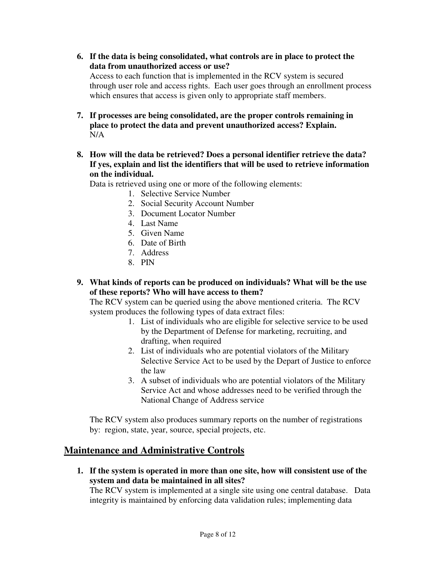- **6. If the data is being consolidated, what controls are in place to protect the data from unauthorized access or use?**  Access to each function that is implemented in the RCV system is secured through user role and access rights. Each user goes through an enrollment process which ensures that access is given only to appropriate staff members.
- **7. If processes are being consolidated, are the proper controls remaining in place to protect the data and prevent unauthorized access? Explain.**  N/A
- **8. How will the data be retrieved? Does a personal identifier retrieve the data? If yes, explain and list the identifiers that will be used to retrieve information on the individual.**

Data is retrieved using one or more of the following elements:

- 1. Selective Service Number
- 2. Social Security Account Number
- 3. Document Locator Number
- 4. Last Name
- 5. Given Name
- 6. Date of Birth
- 7. Address
- 8. PIN
- **9. What kinds of reports can be produced on individuals? What will be the use of these reports? Who will have access to them?**

The RCV system can be queried using the above mentioned criteria. The RCV system produces the following types of data extract files:

- 1. List of individuals who are eligible for selective service to be used by the Department of Defense for marketing, recruiting, and drafting, when required
- 2. List of individuals who are potential violators of the Military Selective Service Act to be used by the Depart of Justice to enforce the law
- 3. A subset of individuals who are potential violators of the Military Service Act and whose addresses need to be verified through the National Change of Address service

The RCV system also produces summary reports on the number of registrations by: region, state, year, source, special projects, etc.

## **Maintenance and Administrative Controls**

**1. If the system is operated in more than one site, how will consistent use of the system and data be maintained in all sites?** 

The RCV system is implemented at a single site using one central database. Data integrity is maintained by enforcing data validation rules; implementing data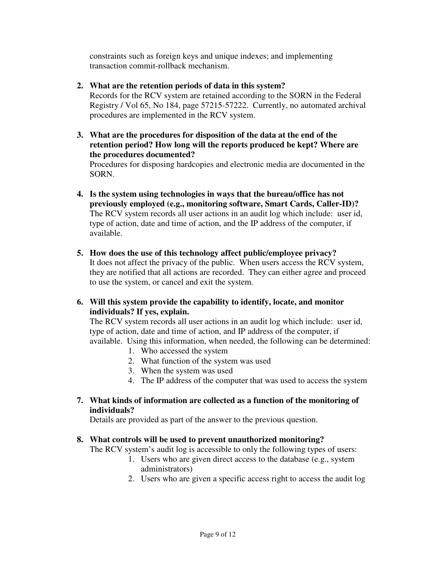constraints such as foreign keys and unique indexes; and implementing transaction commit-rollback mechanism.

- **2. What are the retention periods of data in this system?**  Records for the RCV system are retained according to the SORN in the Federal Registry / Vol 65, No 184, page 57215-57222. Currently, no automated archival procedures are implemented in the RCV system.
- **3. What are the procedures for disposition of the data at the end of the retention period? How long will the reports produced be kept? Where are the procedures documented?**

Procedures for disposing hardcopies and electronic media are documented in the SORN.

- **4. Is the system using technologies in ways that the bureau/office has not previously employed (e.g., monitoring software, Smart Cards, Caller-ID)?**  The RCV system records all user actions in an audit log which include: user id, type of action, date and time of action, and the IP address of the computer, if available.
- **5. How does the use of this technology affect public/employee privacy?**  It does not affect the privacy of the public. When users access the RCV system, they are notified that all actions are recorded. They can either agree and proceed to use the system, or cancel and exit the system.
- **6. Will this system provide the capability to identify, locate, and monitor individuals? If yes, explain.**

The RCV system records all user actions in an audit log which include: user id, type of action, date and time of action, and IP address of the computer, if available. Using this information, when needed, the following can be determined:

- 1. Who accessed the system
- 2. What function of the system was used
- 3. When the system was used
- 4. The IP address of the computer that was used to access the system
- **7. What kinds of information are collected as a function of the monitoring of individuals?**

Details are provided as part of the answer to the previous question.

## **8. What controls will be used to prevent unauthorized monitoring?**

The RCV system's audit log is accessible to only the following types of users:

- 1. Users who are given direct access to the database (e.g., system administrators)
- 2. Users who are given a specific access right to access the audit log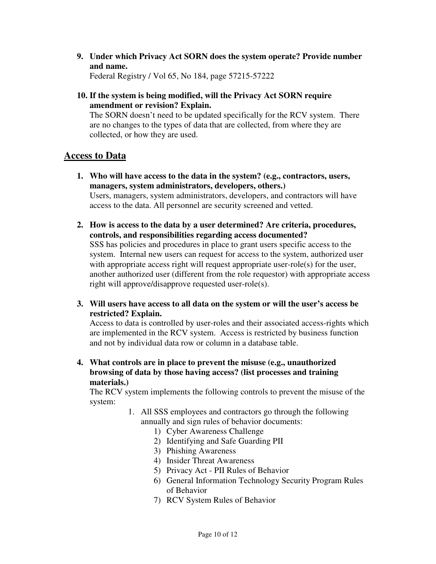**9. Under which Privacy Act SORN does the system operate? Provide number and name.** 

Federal Registry / Vol 65, No 184, page 57215-57222

**10. If the system is being modified, will the Privacy Act SORN require amendment or revision? Explain.** 

The SORN doesn't need to be updated specifically for the RCV system. There are no changes to the types of data that are collected, from where they are collected, or how they are used.

## **Access to Data**

- **1. Who will have access to the data in the system? (e.g., contractors, users, managers, system administrators, developers, others.)**  Users, managers, system administrators, developers, and contractors will have access to the data. All personnel are security screened and vetted.
- **2. How is access to the data by a user determined? Are criteria, procedures, controls, and responsibilities regarding access documented?**  SSS has policies and procedures in place to grant users specific access to the system. Internal new users can request for access to the system, authorized user with appropriate access right will request appropriate user-role(s) for the user, another authorized user (different from the role requestor) with appropriate access right will approve/disapprove requested user-role(s).
- **3. Will users have access to all data on the system or will the user's access be restricted? Explain.**

Access to data is controlled by user-roles and their associated access-rights which are implemented in the RCV system. Access is restricted by business function and not by individual data row or column in a database table.

**4. What controls are in place to prevent the misuse (e.g., unauthorized browsing of data by those having access? (list processes and training materials.)** 

The RCV system implements the following controls to prevent the misuse of the system:

- 1. All SSS employees and contractors go through the following annually and sign rules of behavior documents:
	- 1) Cyber Awareness Challenge
	- 2) Identifying and Safe Guarding PII
	- 3) Phishing Awareness
	- 4) Insider Threat Awareness
	- 5) Privacy Act PII Rules of Behavior
	- 6) General Information Technology Security Program Rules of Behavior
	- 7) RCV System Rules of Behavior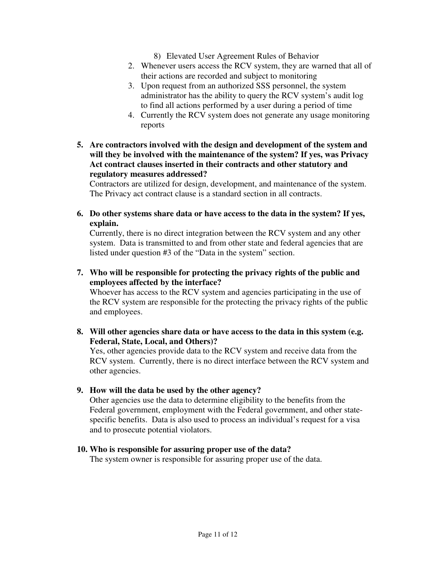- 8) Elevated User Agreement Rules of Behavior
- 2. Whenever users access the RCV system, they are warned that all of their actions are recorded and subject to monitoring
- 3. Upon request from an authorized SSS personnel, the system administrator has the ability to query the RCV system's audit log to find all actions performed by a user during a period of time
- 4. Currently the RCV system does not generate any usage monitoring reports
- **5. Are contractors involved with the design and development of the system and will they be involved with the maintenance of the system? If yes, was Privacy Act contract clauses inserted in their contracts and other statutory and regulatory measures addressed?**

Contractors are utilized for design, development, and maintenance of the system. The Privacy act contract clause is a standard section in all contracts.

**6. Do other systems share data or have access to the data in the system? If yes, explain.** 

Currently, there is no direct integration between the RCV system and any other system. Data is transmitted to and from other state and federal agencies that are listed under question #3 of the "Data in the system" section.

**7. Who will be responsible for protecting the privacy rights of the public and employees affected by the interface?** 

Whoever has access to the RCV system and agencies participating in the use of the RCV system are responsible for the protecting the privacy rights of the public and employees.

**8. Will other agencies share data or have access to the data in this system (e.g. Federal, State, Local, and Others)?** 

Yes, other agencies provide data to the RCV system and receive data from the RCV system. Currently, there is no direct interface between the RCV system and other agencies.

## **9. How will the data be used by the other agency?**

Other agencies use the data to determine eligibility to the benefits from the Federal government, employment with the Federal government, and other statespecific benefits. Data is also used to process an individual's request for a visa and to prosecute potential violators.

#### **10. Who is responsible for assuring proper use of the data?**

The system owner is responsible for assuring proper use of the data.